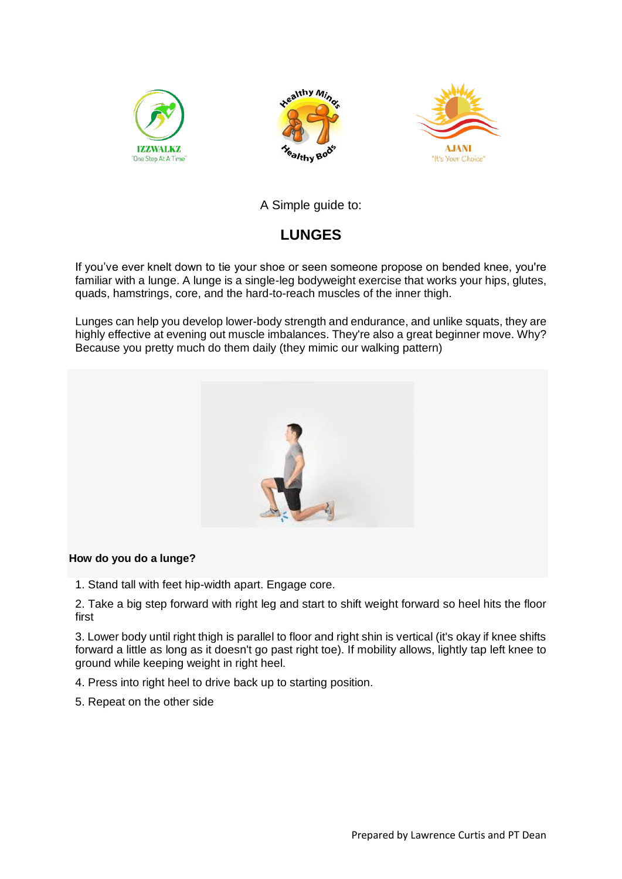





# A Simple guide to:

# **LUNGES**

If you've ever knelt down to tie your shoe or seen someone propose on bended knee, you're familiar with a lunge. A lunge is a single-leg bodyweight exercise that works your hips, glutes, quads, hamstrings, core, and the hard-to-reach muscles of the inner thigh.

Lunges can help you develop lower-body strength and endurance, and unlike squats, they are highly effective at evening out muscle imbalances. They're also a great beginner move. Why? Because you pretty much do them daily (they mimic our walking pattern)



#### **How do you do a lunge?**

1. Stand tall with feet hip-width apart. Engage core.

2. Take a big step forward with right leg and start to shift weight forward so heel hits the floor first

3. Lower body until right thigh is parallel to floor and right shin is vertical (it's okay if knee shifts forward a little as long as it doesn't go past right toe). If mobility allows, lightly tap left knee to ground while keeping weight in right heel.

- 4. Press into right heel to drive back up to starting position.
- 5. Repeat on the other side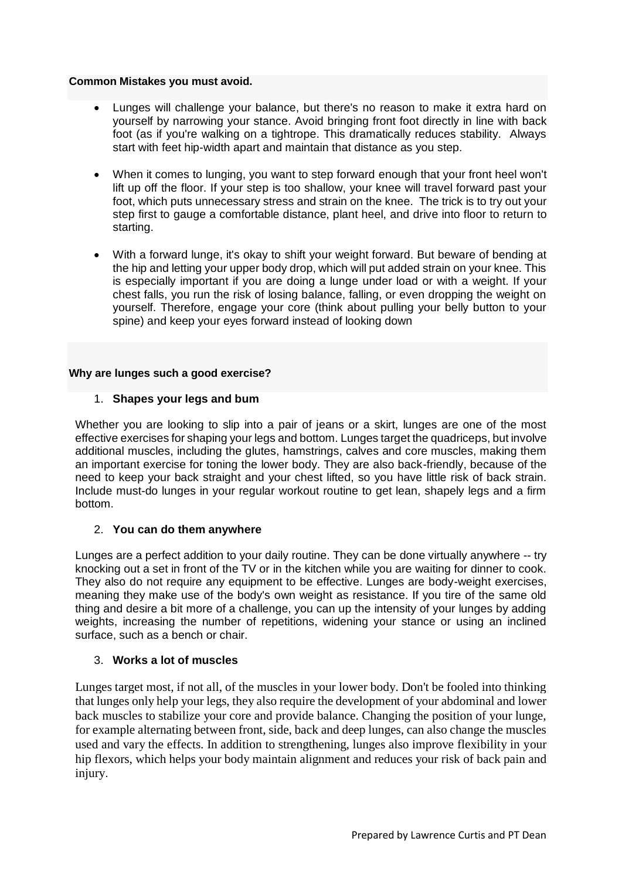#### **Common Mistakes you must avoid.**

- Lunges will challenge your balance, but there's no reason to make it extra hard on yourself by narrowing your stance. Avoid bringing front foot directly in line with back foot (as if you're walking on a tightrope. This dramatically reduces stability. Always start with feet hip-width apart and maintain that distance as you step.
- When it comes to lunging, you want to step forward enough that your front heel won't lift up off the floor. If your step is too shallow, your knee will travel forward past your foot, which puts unnecessary stress and strain on the knee. The trick is to try out your step first to gauge a comfortable distance, plant heel, and drive into floor to return to starting.
- With a forward lunge, it's okay to shift your weight forward. But beware of bending at the hip and letting your upper body drop, which will put added strain on your knee. This is especially important if you are doing a lunge under load or with a weight. If your chest falls, you run the risk of losing balance, falling, or even dropping the weight on yourself. Therefore, engage your core (think about pulling your belly button to your spine) and keep your eyes forward instead of looking down

#### **Why are lunges such a good exercise?**

#### 1. **Shapes your legs and bum**

Whether you are looking to slip into a pair of jeans or a skirt, lunges are one of the most effective exercises for shaping your legs and bottom. Lunges target the quadriceps, but involve additional muscles, including the glutes, hamstrings, calves and core muscles, making them an important exercise for toning the lower body. They are also back-friendly, because of the need to keep your back straight and your chest lifted, so you have little risk of back strain. Include must-do lunges in your regular workout routine to get lean, shapely legs and a firm bottom.

#### 2. **You can do them anywhere**

Lunges are a perfect addition to your daily routine. They can be done virtually anywhere -- try knocking out a set in front of the TV or in the kitchen while you are waiting for dinner to cook. They also do not require any equipment to be effective. Lunges are body-weight exercises, meaning they make use of the body's own weight as resistance. If you tire of the same old thing and desire a bit more of a challenge, you can up the intensity of your lunges by adding weights, increasing the number of repetitions, widening your stance or using an inclined surface, such as a bench or chair.

### 3. **Works a lot of muscles**

Lunges target most, if not all, of the muscles in your lower body. Don't be fooled into thinking that lunges only help your legs, they also require the development of your abdominal and lower back muscles to stabilize your core and provide balance. Changing the position of your lunge, for example alternating between front, side, back and deep lunges, can also change the muscles used and vary the effects. In addition to strengthening, lunges also improve flexibility in your hip flexors, which helps your body maintain alignment and reduces your risk of back pain and injury.